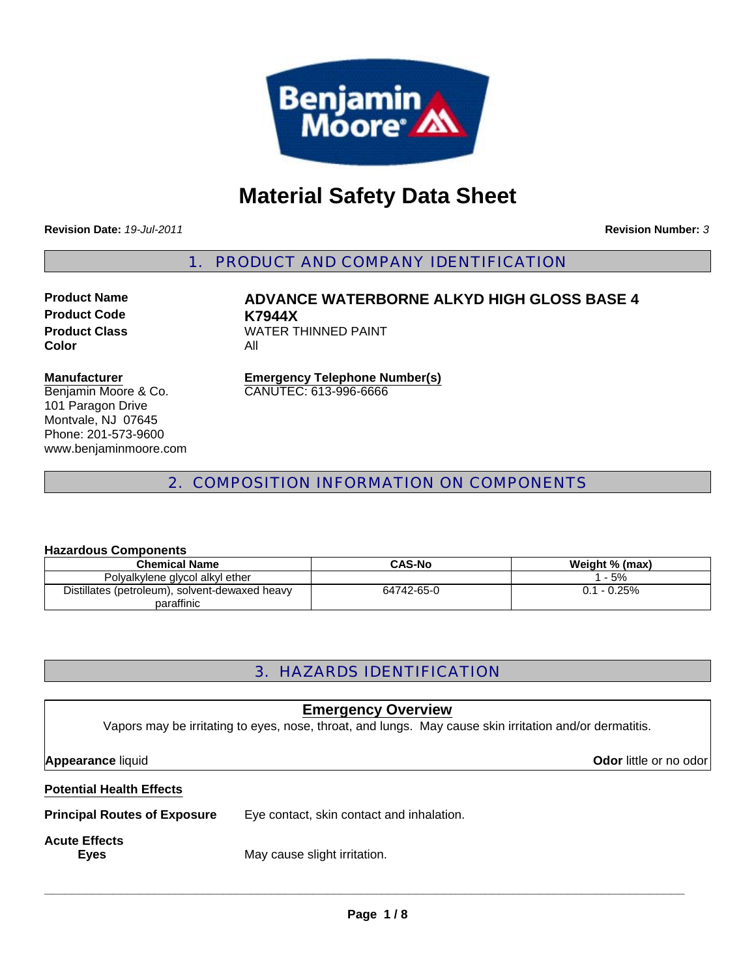

# **Material Safety Data Sheet**

**Revision Date:** *19-Jul-2011*

**Revision Number:** *3*

1. PRODUCT AND COMPANY IDENTIFICATION

**Product Code K7944X Color** All

**Product Name ADVANCE WATERBORNE ALKYD HIGH GLOSS BASE 4 Product Class WATER THINNED PAINT** 

#### **Manufacturer**

Benjamin Moore & Co. 101 Paragon Drive Montvale, NJ 07645 Phone: 201-573-9600 www.benjaminmoore.com **Emergency Telephone Number(s)** CANUTEC: 613-996-6666

# 2. COMPOSITION INFORMATION ON COMPONENTS

#### **Hazardous Components**

| <b>Chemical Name</b>                           | <b>CAS-No</b> | Weight % (max) |  |  |
|------------------------------------------------|---------------|----------------|--|--|
| Polyalkylene glycol alkyl ether                |               | $-5%$          |  |  |
| Distillates (petroleum), solvent-dewaxed heavy | 64742-65-0    | $0.1 - 0.25\%$ |  |  |
| paraffinic                                     |               |                |  |  |

# 3. HAZARDS IDENTIFICATION

| <b>Emergency Overview</b><br>Vapors may be irritating to eyes, nose, throat, and lungs. May cause skin irritation and/or dermatitis. |                                           |  |  |  |  |
|--------------------------------------------------------------------------------------------------------------------------------------|-------------------------------------------|--|--|--|--|
| <b>Appearance liquid</b><br>Odor little or no odor                                                                                   |                                           |  |  |  |  |
| <b>Potential Health Effects</b>                                                                                                      |                                           |  |  |  |  |
| <b>Principal Routes of Exposure</b>                                                                                                  | Eye contact, skin contact and inhalation. |  |  |  |  |
| <b>Acute Effects</b><br><b>Eyes</b>                                                                                                  | May cause slight irritation.              |  |  |  |  |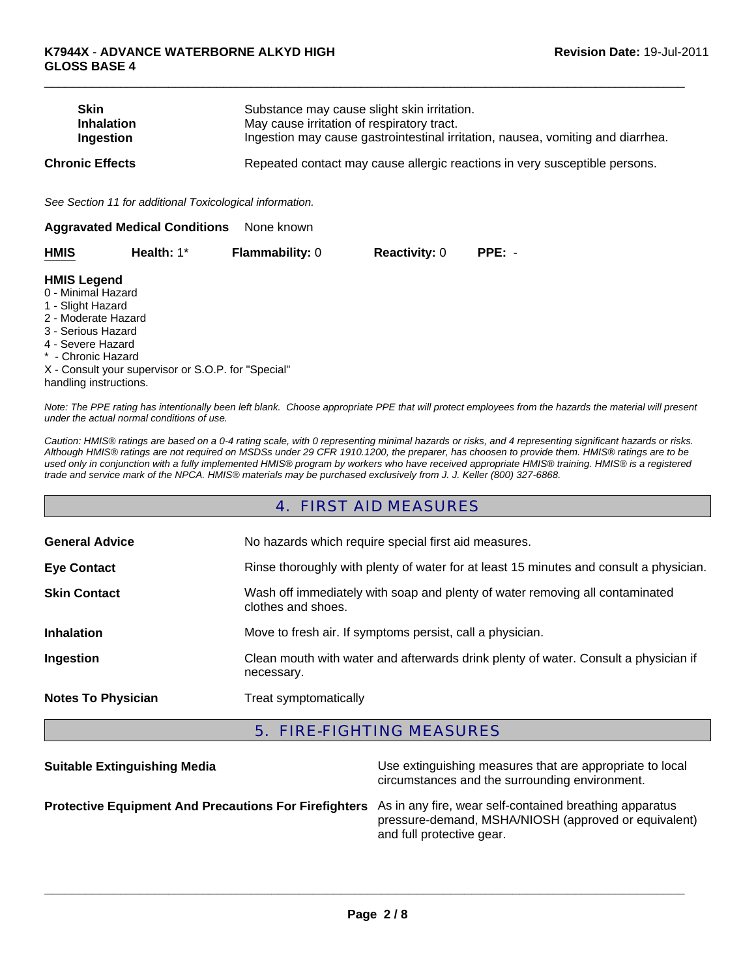| <b>Skin</b><br><b>Inhalation</b><br>Ingestion                                                                                                                                   |                                                          | Substance may cause slight skin irritation.<br>May cause irritation of respiratory tract.<br>Ingestion may cause gastrointestinal irritation, nausea, vomiting and diarrhea. |                      |                                                                            |
|---------------------------------------------------------------------------------------------------------------------------------------------------------------------------------|----------------------------------------------------------|------------------------------------------------------------------------------------------------------------------------------------------------------------------------------|----------------------|----------------------------------------------------------------------------|
| <b>Chronic Effects</b>                                                                                                                                                          |                                                          |                                                                                                                                                                              |                      | Repeated contact may cause allergic reactions in very susceptible persons. |
|                                                                                                                                                                                 | See Section 11 for additional Toxicological information. |                                                                                                                                                                              |                      |                                                                            |
|                                                                                                                                                                                 | <b>Aggravated Medical Conditions</b>                     | None known                                                                                                                                                                   |                      |                                                                            |
| <b>HMIS</b>                                                                                                                                                                     | Health: 1*                                               | <b>Flammability: 0</b>                                                                                                                                                       | <b>Reactivity: 0</b> | $PPE: -$                                                                   |
| <b>HMIS Legend</b><br>0 - Minimal Hazard<br>1 - Slight Hazard<br>2 - Moderate Hazard<br>3 - Serious Hazard<br>4 - Severe Hazard<br>* - Chronic Hazard<br>handling instructions. | X - Consult your supervisor or S.O.P. for "Special"      |                                                                                                                                                                              |                      |                                                                            |

 $\Box$ 

*Note: The PPE rating has intentionally been left blank. Choose appropriate PPE that will protect employees from the hazards the material will present under the actual normal conditions of use.*

*Caution: HMIS® ratings are based on a 0-4 rating scale, with 0 representing minimal hazards or risks, and 4 representing significant hazards or risks. Although HMIS® ratings are not required on MSDSs under 29 CFR 1910.1200, the preparer, has choosen to provide them. HMIS® ratings are to be used only in conjunction with a fully implemented HMIS® program by workers who have received appropriate HMIS® training. HMIS® is a registered trade and service mark of the NPCA. HMIS® materials may be purchased exclusively from J. J. Keller (800) 327-6868.*

### 4. FIRST AID MEASURES

| <b>General Advice</b>     | No hazards which require special first aid measures.                                               |  |
|---------------------------|----------------------------------------------------------------------------------------------------|--|
| <b>Eye Contact</b>        | Rinse thoroughly with plenty of water for at least 15 minutes and consult a physician.             |  |
| <b>Skin Contact</b>       | Wash off immediately with soap and plenty of water removing all contaminated<br>clothes and shoes. |  |
| <b>Inhalation</b>         | Move to fresh air. If symptoms persist, call a physician.                                          |  |
| Ingestion                 | Clean mouth with water and afterwards drink plenty of water. Consult a physician if<br>necessary.  |  |
| <b>Notes To Physician</b> | Treat symptomatically                                                                              |  |

### 5. FIRE-FIGHTING MEASURES

| <b>Suitable Extinguishing Media</b>                                                                           | Use extinguishing measures that are appropriate to local<br>circumstances and the surrounding environment. |
|---------------------------------------------------------------------------------------------------------------|------------------------------------------------------------------------------------------------------------|
| Protective Equipment And Precautions For Firefighters As in any fire, wear self-contained breathing apparatus | pressure-demand, MSHA/NIOSH (approved or equivalent)<br>and full protective gear.                          |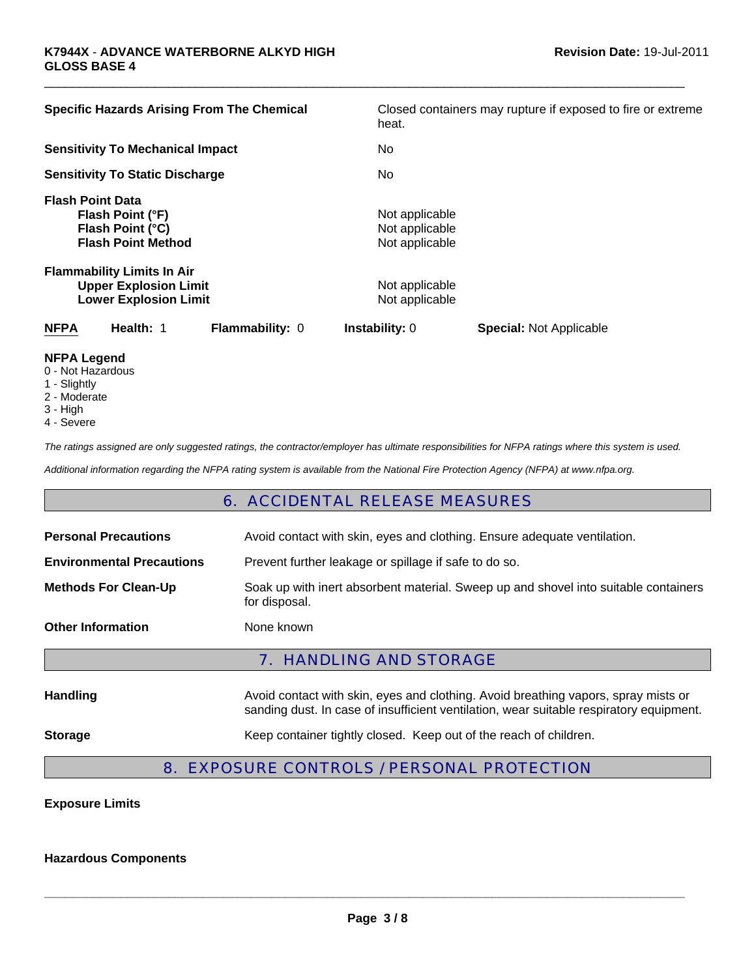| <b>Specific Hazards Arising From The Chemical</b>                                                 |                        | Closed containers may rupture if exposed to fire or extreme<br>heat. |                                |  |
|---------------------------------------------------------------------------------------------------|------------------------|----------------------------------------------------------------------|--------------------------------|--|
| <b>Sensitivity To Mechanical Impact</b>                                                           |                        | No.                                                                  |                                |  |
| <b>Sensitivity To Static Discharge</b>                                                            |                        | No.                                                                  |                                |  |
| <b>Flash Point Data</b><br>Flash Point (°F)<br>Flash Point (°C)<br><b>Flash Point Method</b>      |                        | Not applicable<br>Not applicable<br>Not applicable                   |                                |  |
| <b>Flammability Limits In Air</b><br><b>Upper Explosion Limit</b><br><b>Lower Explosion Limit</b> |                        | Not applicable<br>Not applicable                                     |                                |  |
| <b>NFPA</b><br>Health: 1                                                                          | <b>Flammability: 0</b> | <b>Instability: 0</b>                                                | <b>Special: Not Applicable</b> |  |
| <b>NIFRA LAMAMA</b>                                                                               |                        |                                                                      |                                |  |

 $\Box$ 

- **NFPA Legend**
- 0 Not Hazardous
- 1 Slightly
- 2 Moderate
- 3 High
- 4 Severe

*The ratings assigned are only suggested ratings, the contractor/employer has ultimate responsibilities for NFPA ratings where this system is used.*

*Additional information regarding the NFPA rating system is available from the National Fire Protection Agency (NFPA) at www.nfpa.org.*

### 6. ACCIDENTAL RELEASE MEASURES

| <b>Personal Precautions</b>      | Avoid contact with skin, eyes and clothing. Ensure adequate ventilation.                                                                                                      |  |  |
|----------------------------------|-------------------------------------------------------------------------------------------------------------------------------------------------------------------------------|--|--|
| <b>Environmental Precautions</b> | Prevent further leakage or spillage if safe to do so.                                                                                                                         |  |  |
| <b>Methods For Clean-Up</b>      | Soak up with inert absorbent material. Sweep up and shovel into suitable containers<br>for disposal.                                                                          |  |  |
| <b>Other Information</b>         | None known                                                                                                                                                                    |  |  |
|                                  | <b>7. HANDLING AND STORAGE</b>                                                                                                                                                |  |  |
| <b>Handling</b>                  | Avoid contact with skin, eyes and clothing. Avoid breathing vapors, spray mists or<br>sanding dust. In case of insufficient ventilation, wear suitable respiratory equipment. |  |  |
| <b>Storage</b>                   | Keep container tightly closed. Keep out of the reach of children.                                                                                                             |  |  |

# 8. EXPOSURE CONTROLS / PERSONAL PROTECTION

### **Exposure Limits**

#### **Hazardous Components**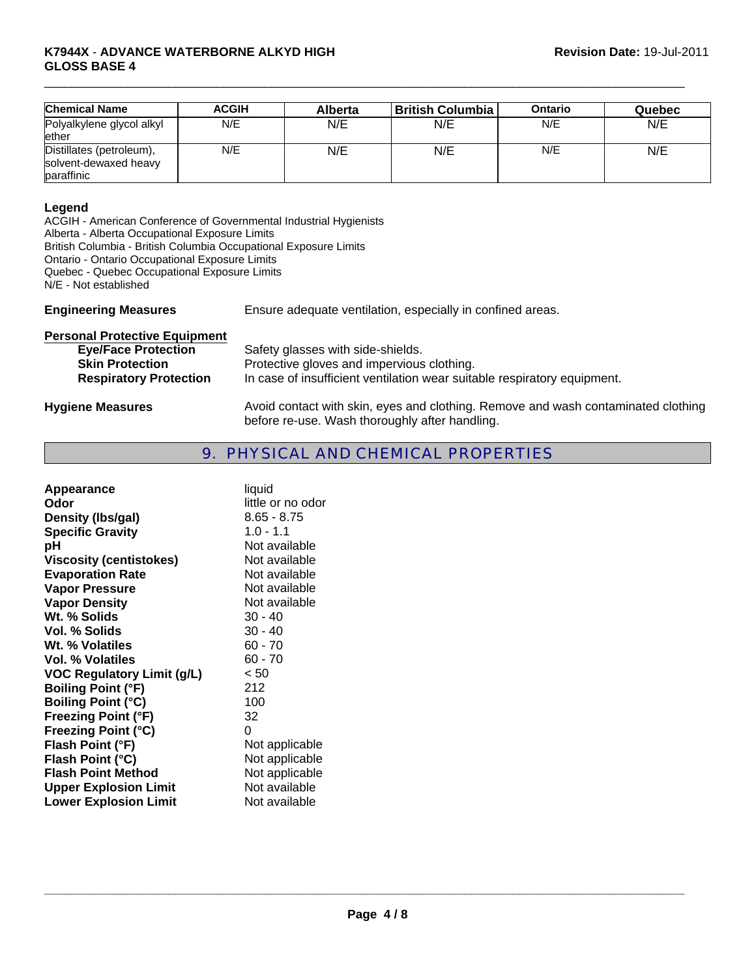#### **K7944X** - **ADVANCE WATERBORNE ALKYD HIGH GLOSS BASE 4**

| <b>Chemical Name</b>      | <b>ACGIH</b> | <b>Alberta</b> | British Columbia | Ontario | Quebec |
|---------------------------|--------------|----------------|------------------|---------|--------|
| Polyalkylene glycol alkyl | N/E          | N/E            | N/E              | N/E     | N/E    |
| ether                     |              |                |                  |         |        |
| Distillates (petroleum),  | N/E          | N/E            | N/E              | N/E     | N/E    |
| solvent-dewaxed heavy     |              |                |                  |         |        |
| paraffinic                |              |                |                  |         |        |

 $\Box$ 

#### **Legend**

ACGIH - American Conference of Governmental Industrial Hygienists Alberta - Alberta Occupational Exposure Limits British Columbia - British Columbia Occupational Exposure Limits

Ontario - Ontario Occupational Exposure Limits

Quebec - Quebec Occupational Exposure Limits

N/E - Not established

**Engineering Measures** Ensure adequate ventilation, especially in confined areas.

| <b>Personal Protective Equipment</b>                 |                                                                                                                                     |
|------------------------------------------------------|-------------------------------------------------------------------------------------------------------------------------------------|
| <b>Eye/Face Protection</b><br><b>Skin Protection</b> | Safety glasses with side-shields.<br>Protective gloves and impervious clothing.                                                     |
| <b>Respiratory Protection</b>                        | In case of insufficient ventilation wear suitable respiratory equipment.                                                            |
| <b>Hygiene Measures</b>                              | Avoid contact with skin, eyes and clothing. Remove and wash contaminated clothing<br>before re-use. Wash thoroughly after handling. |

# 9. PHYSICAL AND CHEMICAL PROPERTIES

| Appearance<br>Odor                | liquid<br>little or no odor |
|-----------------------------------|-----------------------------|
| Density (Ibs/gal)                 | $8.65 - 8.75$               |
| <b>Specific Gravity</b>           | $1.0 - 1.1$                 |
| рH                                | Not available               |
| <b>Viscosity (centistokes)</b>    | Not available               |
| <b>Evaporation Rate</b>           | Not available               |
| <b>Vapor Pressure</b>             | Not available               |
|                                   | Not available               |
| <b>Vapor Density</b>              |                             |
| Wt. % Solids                      | $30 - 40$                   |
| Vol. % Solids                     | $30 - 40$                   |
| Wt. % Volatiles                   | $60 - 70$                   |
| <b>Vol. % Volatiles</b>           | $60 - 70$                   |
| <b>VOC Regulatory Limit (g/L)</b> | < 50                        |
| <b>Boiling Point (°F)</b>         | 212                         |
| <b>Boiling Point (°C)</b>         | 100                         |
| <b>Freezing Point (°F)</b>        | 32                          |
| <b>Freezing Point (°C)</b>        | 0                           |
| Flash Point (°F)                  | Not applicable              |
| Flash Point (°C)                  | Not applicable              |
| <b>Flash Point Method</b>         | Not applicable              |
| <b>Upper Explosion Limit</b>      | Not available               |
|                                   | Not available               |
| <b>Lower Explosion Limit</b>      |                             |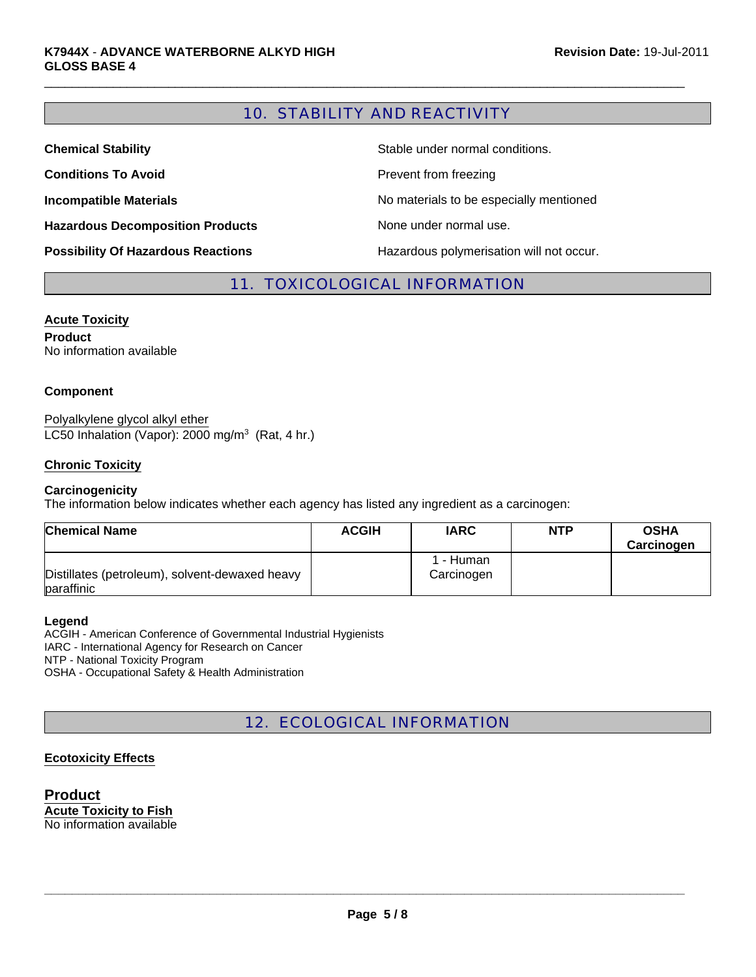# 10. STABILITY AND REACTIVITY

 $\Box$ 

| <b>Chemical Stability</b>                 | Stable under normal conditions.          |
|-------------------------------------------|------------------------------------------|
| <b>Conditions To Avoid</b>                | Prevent from freezing                    |
| <b>Incompatible Materials</b>             | No materials to be especially mentioned  |
| <b>Hazardous Decomposition Products</b>   | None under normal use.                   |
| <b>Possibility Of Hazardous Reactions</b> | Hazardous polymerisation will not occur. |

### 11. TOXICOLOGICAL INFORMATION

#### **Acute Toxicity**

**Product** No information available

#### **Component**

LC50 Inhalation (Vapor): 2000 mg/m $3$  (Rat, 4 hr.) Polyalkylene glycol alkyl ether

#### **Chronic Toxicity**

#### **Carcinogenicity**

The information below indicates whether each agency has listed any ingredient as a carcinogen:

| <b>Chemical Name</b>                                         | <b>ACGIH</b> | <b>IARC</b>             | <b>NTP</b> | <b>OSHA</b><br>Carcinogen |
|--------------------------------------------------------------|--------------|-------------------------|------------|---------------------------|
| Distillates (petroleum), solvent-dewaxed heavy<br>paraffinic |              | l - Human<br>Carcinogen |            |                           |

#### **Legend**

ACGIH - American Conference of Governmental Industrial Hygienists IARC - International Agency for Research on Cancer NTP - National Toxicity Program OSHA - Occupational Safety & Health Administration

# 12. ECOLOGICAL INFORMATION

#### **Ecotoxicity Effects**

**Product Acute Toxicity to Fish** No information available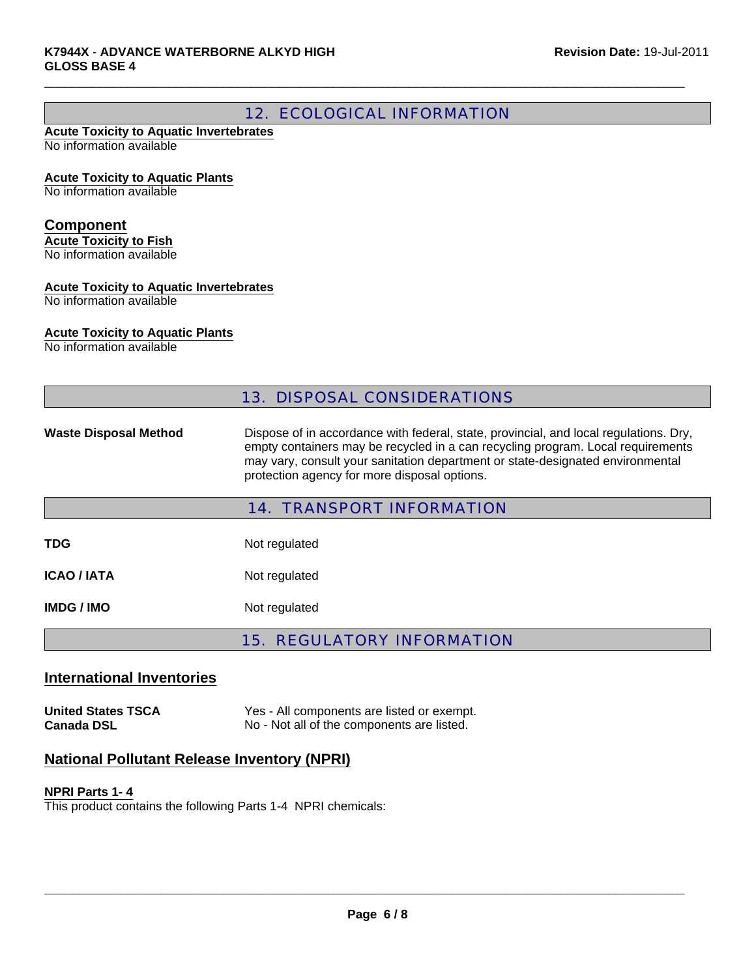# 12. ECOLOGICAL INFORMATION

 $\Box$ 

#### **Acute Toxicity to Aquatic Invertebrates** No information available

**Acute Toxicity to Aquatic Plants**

No information available

### **Component**

**Acute Toxicity to Fish** No information available

# **Acute Toxicity to Aquatic Invertebrates**

No information available

### **Acute Toxicity to Aquatic Plants**

No information available

|                              | <b>13. DISPOSAL CONSIDERATIONS</b>                                                                                                                                                                                                                                                                         |
|------------------------------|------------------------------------------------------------------------------------------------------------------------------------------------------------------------------------------------------------------------------------------------------------------------------------------------------------|
| <b>Waste Disposal Method</b> | Dispose of in accordance with federal, state, provincial, and local regulations. Dry,<br>empty containers may be recycled in a can recycling program. Local requirements<br>may vary, consult your sanitation department or state-designated environmental<br>protection agency for more disposal options. |
|                              | <b>14. TRANSPORT INFORMATION</b>                                                                                                                                                                                                                                                                           |
| <b>TDG</b>                   | Not regulated                                                                                                                                                                                                                                                                                              |
| <b>ICAO / IATA</b>           | Not regulated                                                                                                                                                                                                                                                                                              |
| <b>IMDG/IMO</b>              | Not regulated                                                                                                                                                                                                                                                                                              |
|                              | <b>15. REGULATORY INFORMATION</b>                                                                                                                                                                                                                                                                          |

### **International Inventories**

**United States TSCA** Yes - All components are listed or exempt. **Canada DSL** No - Not all of the components are listed.

### **National Pollutant Release Inventory (NPRI)**

#### **NPRI Parts 1- 4**

This product contains the following Parts 1-4 NPRI chemicals: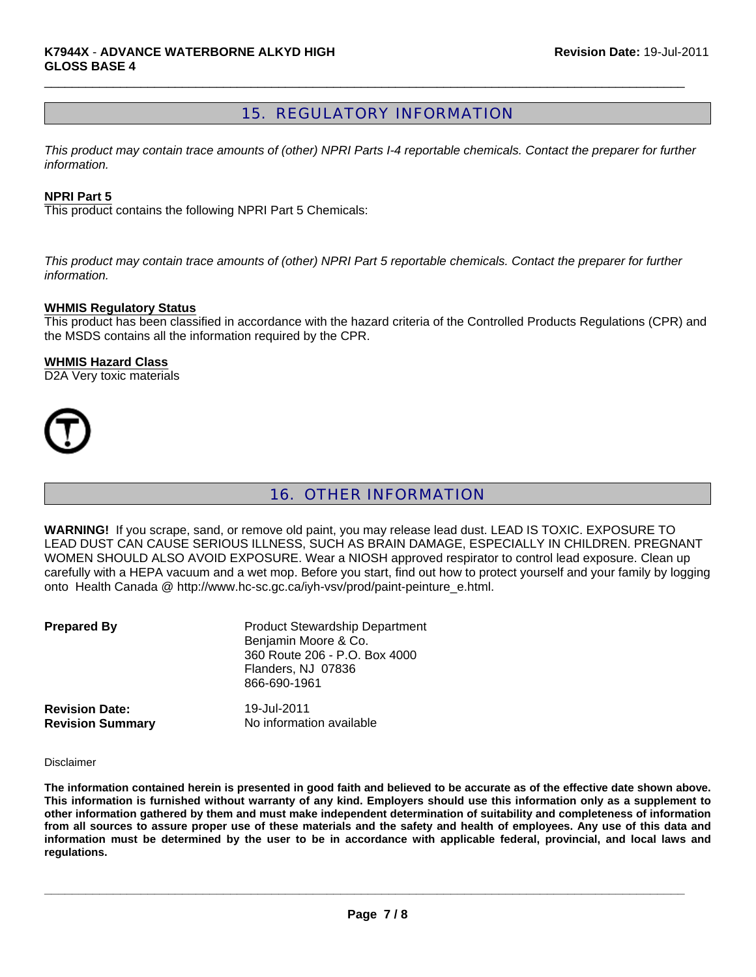# 15. REGULATORY INFORMATION

 $\Box$ 

*This product may contain trace amounts of (other) NPRI Parts I-4 reportable chemicals. Contact the preparer for further information.*

#### **NPRI Part 5**

This product contains the following NPRI Part 5 Chemicals:

*This product may contain trace amounts of (other) NPRI Part 5 reportable chemicals. Contact the preparer for further information.*

#### **WHMIS Regulatory Status**

This product has been classified in accordance with the hazard criteria of the Controlled Products Regulations (CPR) and the MSDS contains all the information required by the CPR.

#### **WHMIS Hazard Class**

D2A Very toxic materials



# 16. OTHER INFORMATION

**WARNING!** If you scrape, sand, or remove old paint, you may release lead dust. LEAD IS TOXIC. EXPOSURE TO LEAD DUST CAN CAUSE SERIOUS ILLNESS, SUCH AS BRAIN DAMAGE, ESPECIALLY IN CHILDREN. PREGNANT WOMEN SHOULD ALSO AVOID EXPOSURE. Wear a NIOSH approved respirator to control lead exposure. Clean up carefully with a HEPA vacuum and a wet mop. Before you start, find out how to protect yourself and your family by logging onto Health Canada @ http://www.hc-sc.gc.ca/iyh-vsv/prod/paint-peinture\_e.html.

| <b>Prepared By</b>      | <b>Product Stewardship Department</b><br>Benjamin Moore & Co.<br>360 Route 206 - P.O. Box 4000<br>Flanders, NJ 07836<br>866-690-1961 |
|-------------------------|--------------------------------------------------------------------------------------------------------------------------------------|
| <b>Revision Date:</b>   | 19-Jul-2011                                                                                                                          |
| <b>Revision Summary</b> | No information available                                                                                                             |

Disclaimer

**The information contained herein is presented in good faith and believed to be accurate as of the effective date shown above. This information is furnished without warranty of any kind. Employers should use this information only as a supplement to other information gathered by them and must make independent determination of suitability and completeness of information from all sources to assure proper use of these materials and the safety and health of employees. Any use of this data and information must be determined by the user to be in accordance with applicable federal, provincial, and local laws and regulations.**